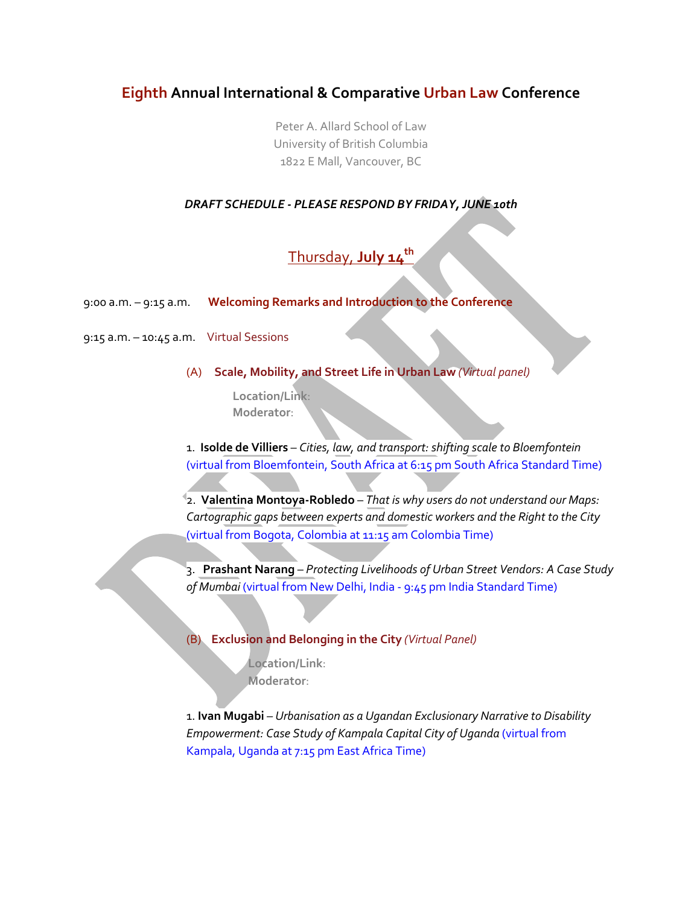# **Eighth Annual International & Comparative Urban Law Conference**

Peter A. Allard School of Law University of British Columbia 1822 E Mall, Vancouver, BC

## *DRAFT SCHEDULE - PLEASE RESPOND BY FRIDAY, JUNE 10th*

# Thursday, **July 14th**

9:00 a.m. – 9:15 a.m. **Welcoming Remarks and Introduction to the Conference**

9:15 a.m. – 10:45 a.m. Virtual Sessions

(A) **Scale, Mobility, and Street Life in Urban Law** *(Virtual panel)* 

**Location/Link**: **Moderator**:

1. **Isolde de Villiers** – *Cities, law, and transport: shifting scale to Bloemfontein*  (virtual from Bloemfontein, South Africa at 6:15 pm South Africa Standard Time)

2. **Valentina Montoya-Robledo** – *That is why users do not understand our Maps: Cartographic gaps between experts and domestic workers and the Right to the City*  (virtual from Bogota, Colombia at 11:15 am Colombia Time)

3. **Prashant Narang** – *Protecting Livelihoods of Urban Street Vendors: A Case Study of Mumbai* (virtual from New Delhi, India - 9:45 pm India Standard Time)

### (B) **Exclusion and Belonging in the City** *(Virtual Panel)*

**Location/Link**: **Moderator**:

1. **Ivan Mugabi** *– Urbanisation as a Ugandan Exclusionary Narrative to Disability Empowerment: Case Study of Kampala Capital City of Uganda* (virtual from Kampala, Uganda at 7:15 pm East Africa Time)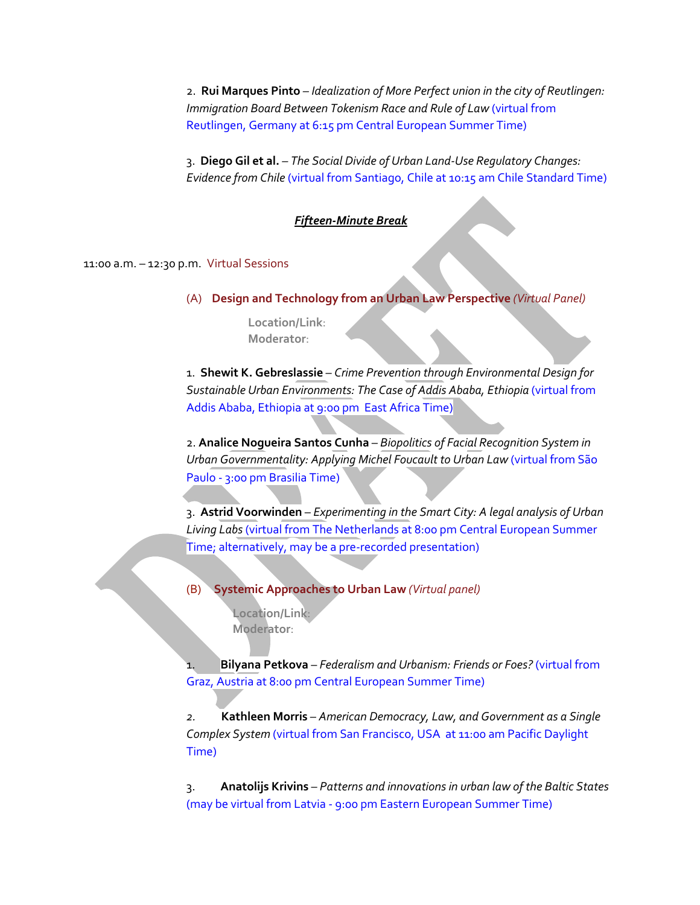2. **Rui Marques Pinto** *– Idealization of More Perfect union in the city of Reutlingen: Immigration Board Between Tokenism Race and Rule of Law* (virtual from Reutlingen, Germany at 6:15 pm Central European Summer Time)

3. **Diego Gil et al.** *– The Social Divide of Urban Land-Use Regulatory Changes: Evidence from Chile* (virtual from Santiago, Chile at 10:15 am Chile Standard Time)

#### *Fifteen-Minute Break*

11:00 a.m. – 12:30 p.m. Virtual Sessions

(A) **Design and Technology from an Urban Law Perspective** *(Virtual Panel)*

**Location/Link**: **Moderator**:

1. **Shewit K. Gebreslassie** – *Crime Prevention through Environmental Design for*  Sustainable Urban Environments: The Case of Addis Ababa, Ethiopia (virtual from Addis Ababa, Ethiopia at 9:00 pm East Africa Time)

2. **Analice Nogueira Santos Cunha** – *Biopolitics of Facial Recognition System in Urban Governmentality: Applying Michel Foucault to Urban Law* (virtual from São Paulo - 3:00 pm Brasilia Time)

3. **Astrid Voorwinden** – *Experimenting in the Smart City: A legal analysis of Urban Living Labs* (virtual from The Netherlands at 8:00 pm Central European Summer Time; alternatively, may be a pre-recorded presentation)

(B) **Systemic Approaches to Urban Law** *(Virtual panel)* **Location/Link**:

**Moderator**:

1. **Bilyana Petkova** – *Federalism and Urbanism: Friends or Foes?* (virtual from Graz, Austria at 8:00 pm Central European Summer Time)

*2.* **Kathleen Morris** – *American Democracy, Law, and Government as a Single Complex System* (virtual from San Francisco, USA at 11:00 am Pacific Daylight Time)

3. **Anatolijs Krivins** – *Patterns and innovations in urban law of the Baltic States*  (may be virtual from Latvia - 9:00 pm Eastern European Summer Time)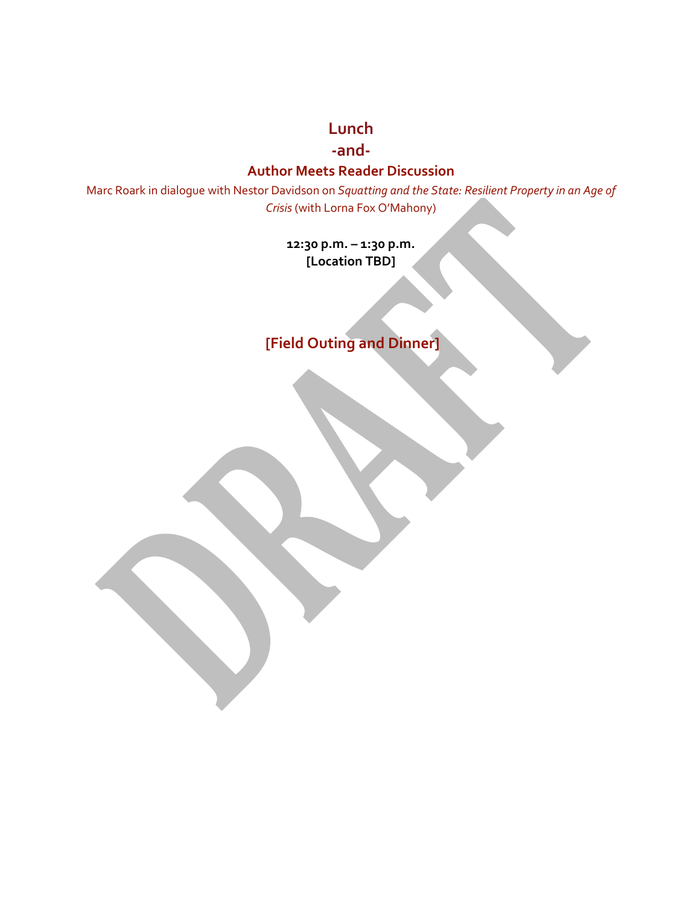**Lunch**

**-and-**

## **Author Meets Reader Discussion**

Marc Roark in dialogue with Nestor Davidson on *Squatting and the State: Resilient Property in an Age of Crisis*(with Lorna Fox O'Mahony)

> **12:30 p.m. – 1:30 p.m. [Location TBD]**

**[Field Outing and Dinner]**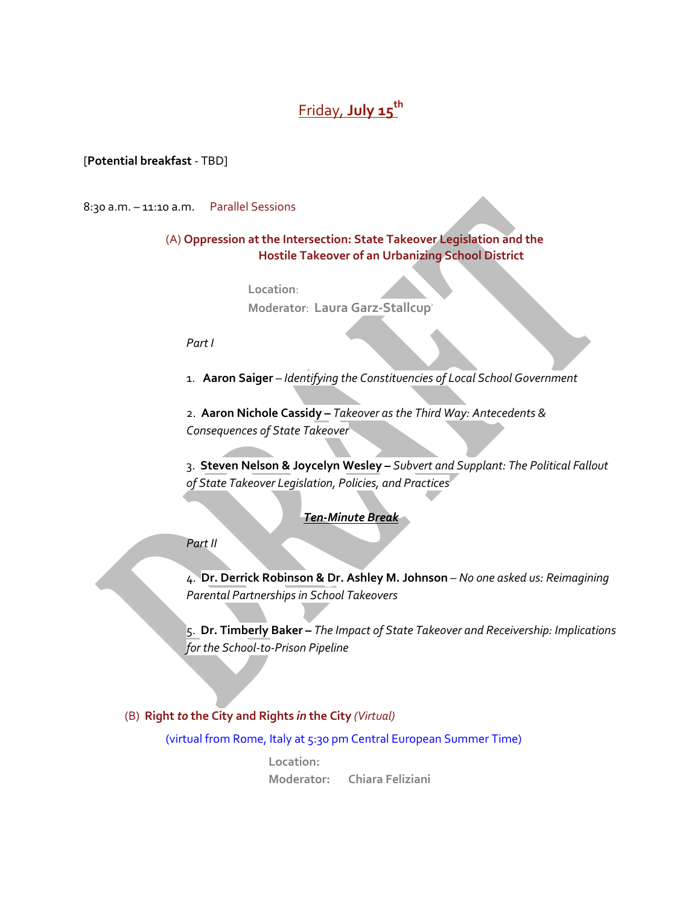# Friday, **July 15th**

#### [**Potential breakfast** - TBD]

8:30 a.m. – 11:10 a.m. Parallel Sessions

## (A) **Oppression at the Intersection: State Takeover Legislation and the Hostile Takeover of an Urbanizing School District**

**Location**:

**Moderator**: **Laura Garz-Stallcup**

*Part I*

1.**Aaron Saiger** – *Identifying the Constituencies of Local School Government*

2. **Aaron Nichole Cassidy –** *Takeover as the Third Way: Antecedents & Consequences of State Takeover*

3. **Steven Nelson & Joycelyn Wesley –** *Subvert and Supplant: The Political Fallout of State Takeover Legislation, Policies, and Practices*

### *Ten-Minute Break*

#### *Part II*

4. **Dr. Derrick Robinson & Dr. Ashley M. Johnson** *– No one asked us: Reimagining Parental Partnerships in School Takeovers* 

5. **Dr. Timberly Baker –** *The Impact of State Takeover and Receivership: Implications for the School-to-Prison Pipeline*

### (B) **Right** *to* **the City and Rights** *in* **the City** *(Virtual)*

(virtual from Rome, Italy at 5:30 pm Central European Summer Time)

**Location: Moderator: Chiara Feliziani**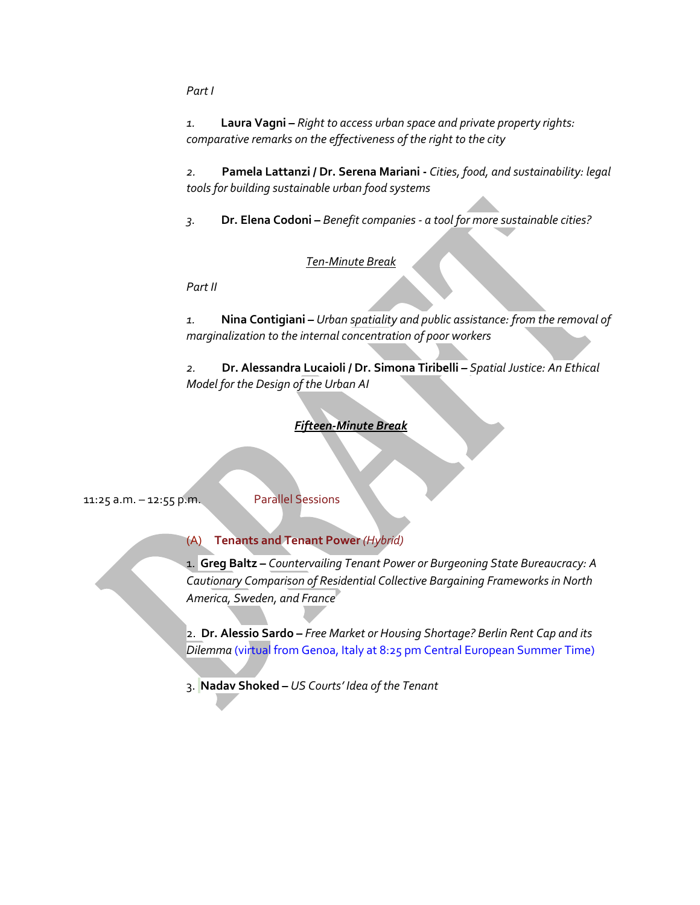*Part I*

*1.* **Laura Vagni –** *Right to access urban space and private property rights: comparative remarks on the effectiveness of the right to the city*

*2.* **Pamela Lattanzi / Dr. Serena Mariani -** *Cities, food, and sustainability: legal tools for building sustainable urban food systems* 

*3.* **Dr. Elena Codoni –** *Benefit companies - a tool for more sustainable cities?*

### *Ten-Minute Break*

*Part II*

*1.* **Nina Contigiani** *– Urban spatiality and public assistance: from the removal of marginalization to the internal concentration of poor workers*

*2.* **Dr. Alessandra Lucaioli / Dr. Simona Tiribelli** *– Spatial Justice: An Ethical Model for the Design of the Urban AI*

### *Fifteen-Minute Break*

11:25 a.m. – 12:55 p.m. Parallel Sessions

### (A) **Tenants and Tenant Power** *(Hybrid)*

1. **Greg Baltz –** *Countervailing Tenant Power or Burgeoning State Bureaucracy: A Cautionary Comparison of Residential Collective Bargaining Frameworks in North America, Sweden, and France*

2. **Dr. Alessio Sardo –** *Free Market or Housing Shortage? Berlin Rent Cap and its Dilemma* (virtual from Genoa, Italy at 8:25 pm Central European Summer Time)

3. **Nadav Shoked –** *US Courts' Idea of the Tenant*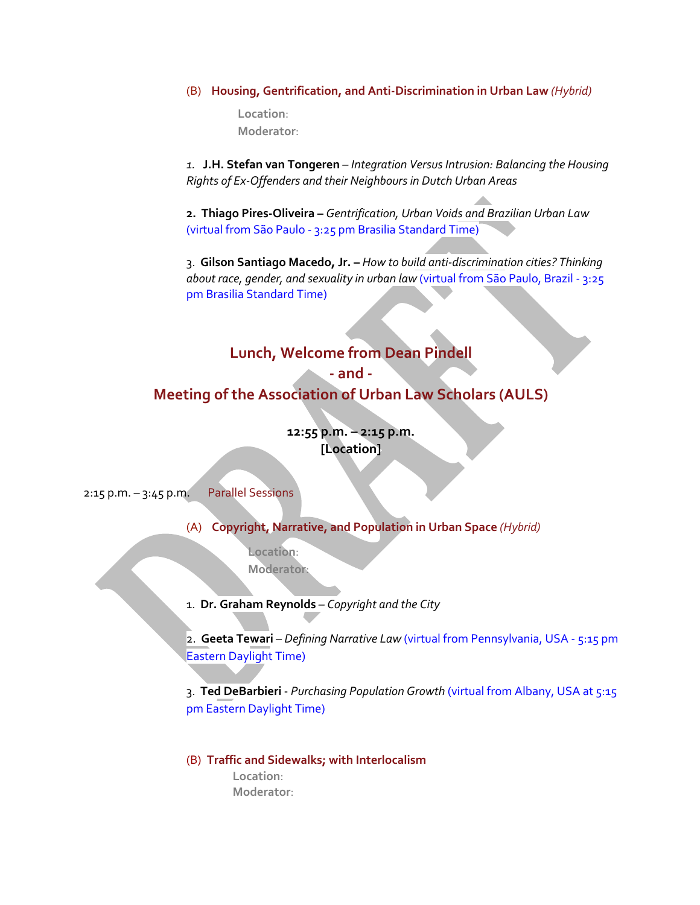#### (B) **Housing, Gentrification, and Anti-Discrimination in Urban Law** *(Hybrid)*

**Location**: **Moderator**:

*1.* **J.H. Stefan van Tongeren** *– Integration Versus Intrusion: Balancing the Housing Rights of Ex-Offenders and their Neighbours in Dutch Urban Areas*

**2. Thiago Pires-Oliveira –** *Gentrification, Urban Voids and Brazilian Urban Law*  (virtual from São Paulo - 3:25 pm Brasilia Standard Time)

3. **Gilson Santiago Macedo, Jr. –** *How to build anti-discrimination cities? Thinking about race, gender, and sexuality in urban law* (virtual from São Paulo, Brazil - 3:25 pm Brasilia Standard Time)

## **Lunch, Welcome from Dean Pindell**

# **- and -**

**Meeting of the Association of Urban Law Scholars (AULS)**

**12:55 p.m. – 2:15 p.m. [Location]**

2:15 p.m. – 3:45 p.m. Parallel Sessions

(A) **Copyright, Narrative, and Population in Urban Space** *(Hybrid)*

**Location**: **Moderator**:

1. **Dr. Graham Reynolds** *– Copyright and the City*

2. **Geeta Tewari** *– Defining Narrative Law* (virtual from Pennsylvania, USA - 5:15 pm Eastern Daylight Time)

3. **Ted DeBarbieri** - *Purchasing Population Growth* (virtual from Albany, USA at 5:15 pm Eastern Daylight Time)

(B) **Traffic and Sidewalks; with Interlocalism Location**:  **Moderator**: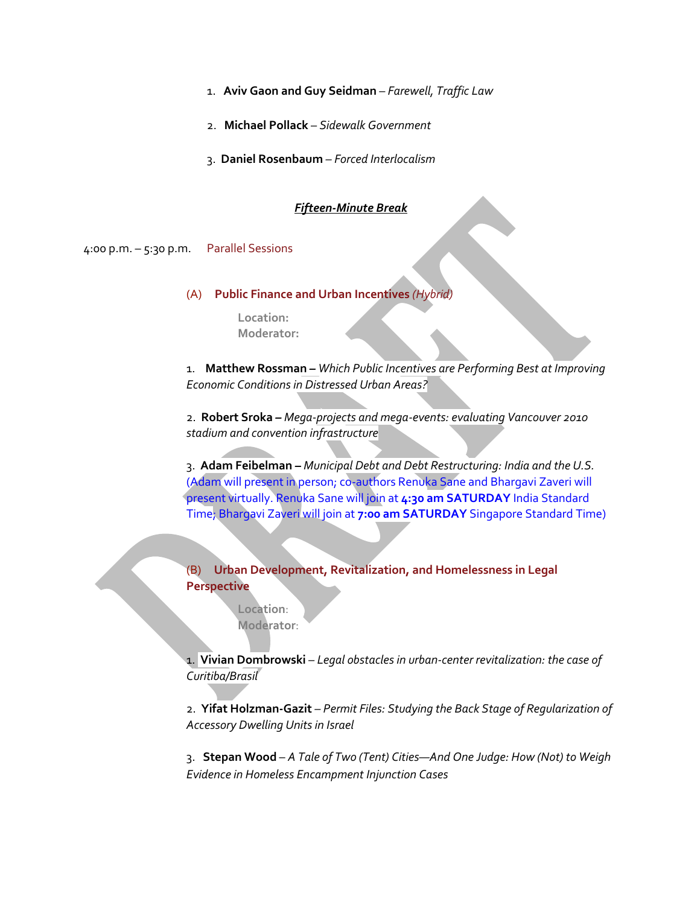- 1. **Aviv Gaon and Guy Seidman** *Farewell, Traffic Law*
- 2. **Michael Pollack** *Sidewalk Government*
- 3. **Daniel Rosenbaum** *– Forced Interlocalism*

#### *Fifteen-Minute Break*

4:00 p.m. – 5:30 p.m. Parallel Sessions

#### (A) **Public Finance and Urban Incentives** *(Hybrid)*

**Location: Moderator:** 

1. **Matthew Rossman** *– Which Public Incentives are Performing Best at Improving Economic Conditions in Distressed Urban Areas?*

2. **Robert Sroka** *– Mega-projects and mega-events: evaluating Vancouver 2010 stadium and convention infrastructure*

3. **Adam Feibelman –** *Municipal Debt and Debt Restructuring: India and the U.S.*  (Adam will present in person; co-authors Renuka Sane and Bhargavi Zaveri will present virtually. Renuka Sane will join at **4:30 am SATURDAY** India Standard Time; Bhargavi Zaveri will join at **7:00 am SATURDAY** Singapore Standard Time)

(B) **Urban Development, Revitalization, and Homelessness in Legal Perspective** 

> **Location**: **Moderator**:

1. **Vivian Dombrowski** *– Legal obstacles in urban-center revitalization: the case of Curitiba/Brasil* 

2. **Yifat Holzman-Gazit** *– Permit Files: Studying the Back Stage of Regularization of Accessory Dwelling Units in Israel*

3. **Stepan Wood** – *A Tale of Two (Tent) Cities—And One Judge: How (Not) to Weigh Evidence in Homeless Encampment Injunction Cases*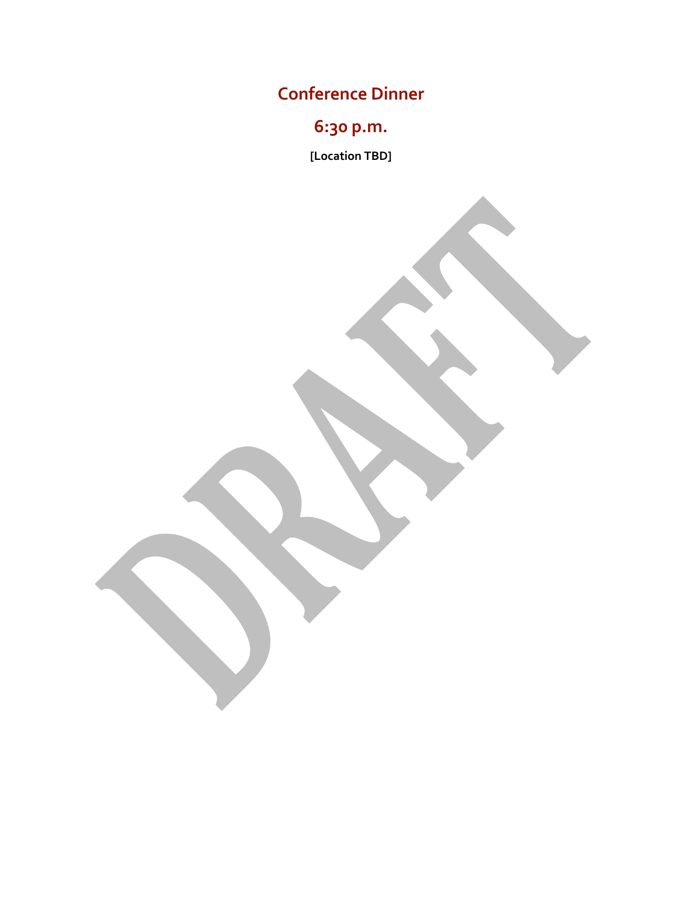**Conference Dinner**

**6:30 p.m.**

**[Location TBD]**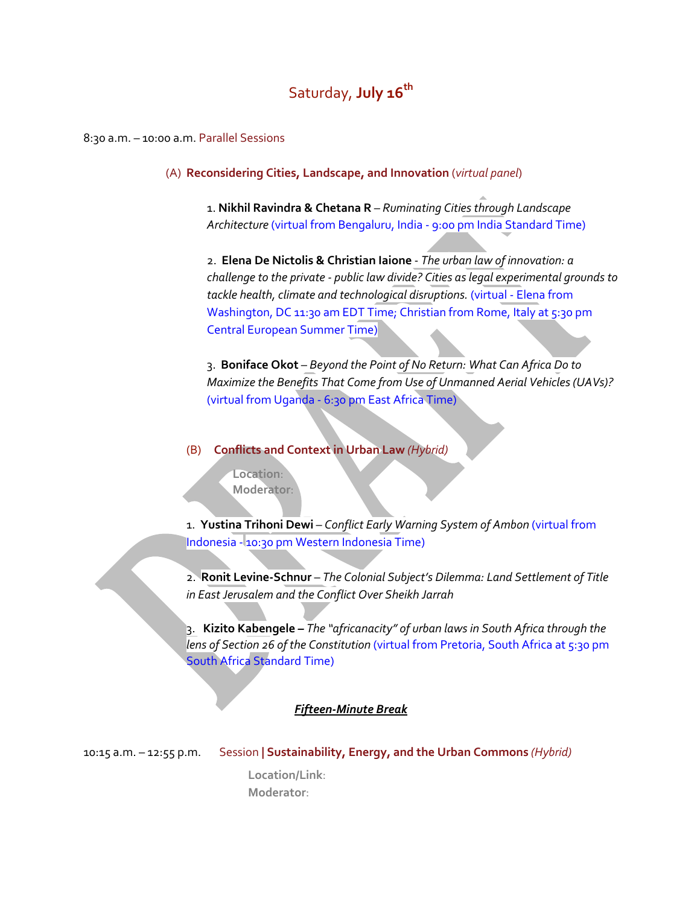# Saturday, **July 16th**

8:30 a.m. – 10:00 a.m. Parallel Sessions

(A) **Reconsidering Cities, Landscape, and Innovation** (*virtual panel*)

1. **Nikhil Ravindra & Chetana R** *– Ruminating Cities through Landscape Architecture* (virtual from Bengaluru, India - 9:00 pm India Standard Time)

2. **Elena De Nictolis & Christian Iaione** - *The urban law of innovation: a challenge to the private - public law divide? Cities as legal experimental grounds to tackle health, climate and technological disruptions.* (virtual - Elena from Washington, DC 11:30 am EDT Time; Christian from Rome, Italy at 5:30 pm Central European Summer Time)

3. **Boniface Okot** – *Beyond the Point of No Return: What Can Africa Do to Maximize the Benefits That Come from Use of Unmanned Aerial Vehicles (UAVs)?* (virtual from Uganda - 6:30 pm East Africa Time)

(B) **Conflicts and Context in Urban Law** *(Hybrid)*

**Location**: **Moderator**:

1. **Yustina Trihoni Dewi** – *Conflict Early Warning System of Ambon* (virtual from Indonesia - 10:30 pm Western Indonesia Time)

2. **Ronit Levine-Schnur** – *The Colonial Subject's Dilemma: Land Settlement of Title in East Jerusalem and the Conflict Over Sheikh Jarrah*

3. **Kizito Kabengele** *– The "africanacity" of urban laws in South Africa through the lens of Section 26 of the Constitution* (virtual from Pretoria, South Africa at 5:30 pm South Africa Standard Time)

*Fifteen-Minute Break*

10:15 a.m. – 12:55 p.m.Session **| Sustainability, Energy, and the Urban Commons** *(Hybrid)*

**Location/Link**: **Moderator**: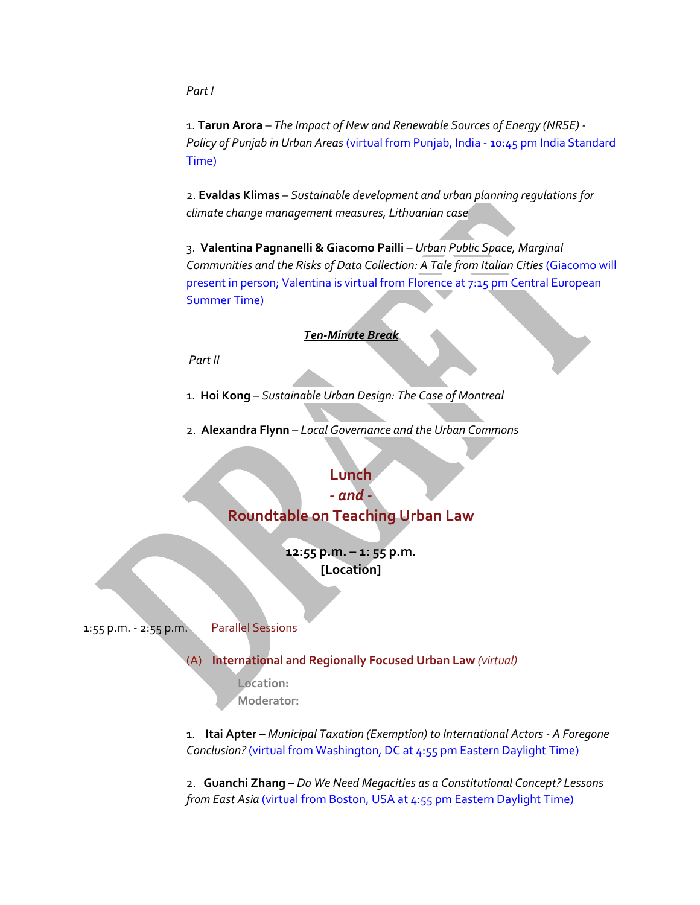*Part I*

1. **Tarun Arora** – *The Impact of New and Renewable Sources of Energy (NRSE) - Policy of Punjab in Urban Areas* (virtual from Punjab, India - 10:45 pm India Standard Time)

2. **Evaldas Klimas** – *Sustainable development and urban planning regulations for climate change management measures, Lithuanian case*

3. **Valentina Pagnanelli & Giacomo Pailli** – *Urban Public Space, Marginal Communities and the Risks of Data Collection: A Tale from Italian Cities* (Giacomo will present in person; Valentina is virtual from Florence at 7:15 pm Central European Summer Time)

### *Ten-Minute Break*

*Part II*

1. **Hoi Kong** – *Sustainable Urban Design: The Case of Montreal*

2. **Alexandra Flynn** – *Local Governance and the Urban Commons*

## **Lunch**

## *- and -* **Roundtable on Teaching Urban Law**

**12:55 p.m. – 1: 55 p.m. [Location]**

1:55 p.m. - 2:55 p.m.Parallel Sessions

### (A) **International and Regionally Focused Urban Law** *(virtual)*

**Location: Moderator:** 

1. **Itai Apter –** *Municipal Taxation (Exemption) to International Actors - A Foregone Conclusion?* (virtual from Washington, DC at 4:55 pm Eastern Daylight Time)

2. **Guanchi Zhang** *– Do We Need Megacities as a Constitutional Concept? Lessons from East Asia (virtual from Boston, USA at 4:55 pm Eastern Daylight Time)*